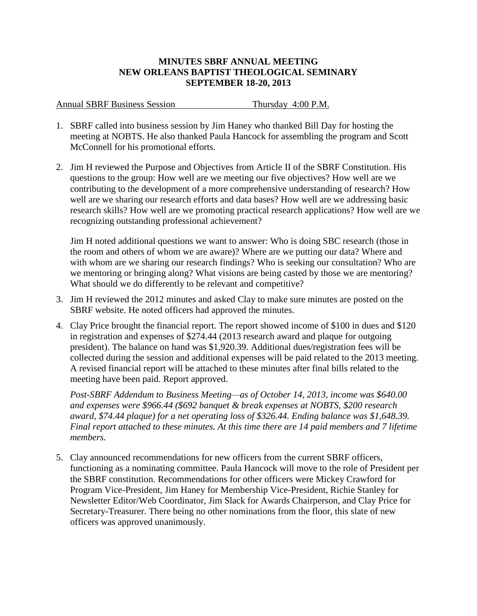## **MINUTES SBRF ANNUAL MEETING NEW ORLEANS BAPTIST THEOLOGICAL SEMINARY SEPTEMBER 18-20, 2013**

Annual SBRF Business Session Thursday 4:00 P.M.

- 1. SBRF called into business session by Jim Haney who thanked Bill Day for hosting the meeting at NOBTS. He also thanked Paula Hancock for assembling the program and Scott McConnell for his promotional efforts.
- 2. Jim H reviewed the Purpose and Objectives from Article II of the SBRF Constitution. His questions to the group: How well are we meeting our five objectives? How well are we contributing to the development of a more comprehensive understanding of research? How well are we sharing our research efforts and data bases? How well are we addressing basic research skills? How well are we promoting practical research applications? How well are we recognizing outstanding professional achievement?

Jim H noted additional questions we want to answer: Who is doing SBC research (those in the room and others of whom we are aware)? Where are we putting our data? Where and with whom are we sharing our research findings? Who is seeking our consultation? Who are we mentoring or bringing along? What visions are being casted by those we are mentoring? What should we do differently to be relevant and competitive?

- 3. Jim H reviewed the 2012 minutes and asked Clay to make sure minutes are posted on the SBRF website. He noted officers had approved the minutes.
- 4. Clay Price brought the financial report. The report showed income of \$100 in dues and \$120 in registration and expenses of \$274.44 (2013 research award and plaque for outgoing president). The balance on hand was \$1,920.39. Additional dues/registration fees will be collected during the session and additional expenses will be paid related to the 2013 meeting. A revised financial report will be attached to these minutes after final bills related to the meeting have been paid. Report approved.

*Post-SBRF Addendum to Business Meeting—as of October 14, 2013, income was \$640.00 and expenses were \$966.44 (\$692 banquet & break expenses at NOBTS, \$200 research award, \$74.44 plaque) for a net operating loss of \$326.44. Ending balance was \$1,648.39. Final report attached to these minutes. At this time there are 14 paid members and 7 lifetime members.*

5. Clay announced recommendations for new officers from the current SBRF officers, functioning as a nominating committee. Paula Hancock will move to the role of President per the SBRF constitution. Recommendations for other officers were Mickey Crawford for Program Vice-President, Jim Haney for Membership Vice-President, Richie Stanley for Newsletter Editor/Web Coordinator, Jim Slack for Awards Chairperson, and Clay Price for Secretary-Treasurer. There being no other nominations from the floor, this slate of new officers was approved unanimously.